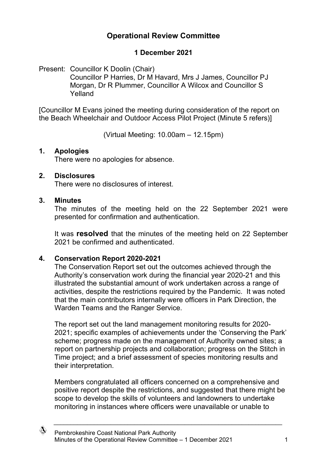## **Operational Review Committee**

## **1 December 2021**

Present: Councillor K Doolin (Chair) Councillor P Harries, Dr M Havard, Mrs J James, Councillor PJ Morgan, Dr R Plummer, Councillor A Wilcox and Councillor S Yelland

[Councillor M Evans joined the meeting during consideration of the report on the Beach Wheelchair and Outdoor Access Pilot Project (Minute 5 refers)]

(Virtual Meeting: 10.00am – 12.15pm)

#### **1. Apologies**

There were no apologies for absence.

#### **2. Disclosures**

There were no disclosures of interest.

#### **3. Minutes**

The minutes of the meeting held on the 22 September 2021 were presented for confirmation and authentication.

It was **resolved** that the minutes of the meeting held on 22 September 2021 be confirmed and authenticated.

#### **4. Conservation Report 2020-2021**

The Conservation Report set out the outcomes achieved through the Authority's conservation work during the financial year 2020-21 and this illustrated the substantial amount of work undertaken across a range of activities, despite the restrictions required by the Pandemic. It was noted that the main contributors internally were officers in Park Direction, the Warden Teams and the Ranger Service.

The report set out the land management monitoring results for 2020- 2021; specific examples of achievements under the 'Conserving the Park' scheme; progress made on the management of Authority owned sites; a report on partnership projects and collaboration; progress on the Stitch in Time project; and a brief assessment of species monitoring results and their interpretation.

Members congratulated all officers concerned on a comprehensive and positive report despite the restrictions, and suggested that there might be scope to develop the skills of volunteers and landowners to undertake monitoring in instances where officers were unavailable or unable to

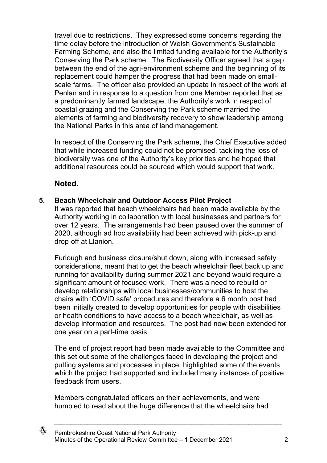travel due to restrictions. They expressed some concerns regarding the time delay before the introduction of Welsh Government's Sustainable Farming Scheme, and also the limited funding available for the Authority's Conserving the Park scheme. The Biodiversity Officer agreed that a gap between the end of the agri-environment scheme and the beginning of its replacement could hamper the progress that had been made on smallscale farms. The officer also provided an update in respect of the work at Penlan and in response to a question from one Member reported that as a predominantly farmed landscape, the Authority's work in respect of coastal grazing and the Conserving the Park scheme married the elements of farming and biodiversity recovery to show leadership among the National Parks in this area of land management.

In respect of the Conserving the Park scheme, the Chief Executive added that while increased funding could not be promised, tackling the loss of biodiversity was one of the Authority's key priorities and he hoped that additional resources could be sourced which would support that work.

## **Noted.**

#### **5. Beach Wheelchair and Outdoor Access Pilot Project**

It was reported that beach wheelchairs had been made available by the Authority working in collaboration with local businesses and partners for over 12 years. The arrangements had been paused over the summer of 2020, although ad hoc availability had been achieved with pick-up and drop-off at Llanion.

Furlough and business closure/shut down, along with increased safety considerations, meant that to get the beach wheelchair fleet back up and running for availability during summer 2021 and beyond would require a significant amount of focused work. There was a need to rebuild or develop relationships with local businesses/communities to host the chairs with 'COVID safe' procedures and therefore a 6 month post had been initially created to develop opportunities for people with disabilities or health conditions to have access to a beach wheelchair, as well as develop information and resources. The post had now been extended for one year on a part-time basis.

The end of project report had been made available to the Committee and this set out some of the challenges faced in developing the project and putting systems and processes in place, highlighted some of the events which the project had supported and included many instances of positive feedback from users.

Members congratulated officers on their achievements, and were humbled to read about the huge difference that the wheelchairs had

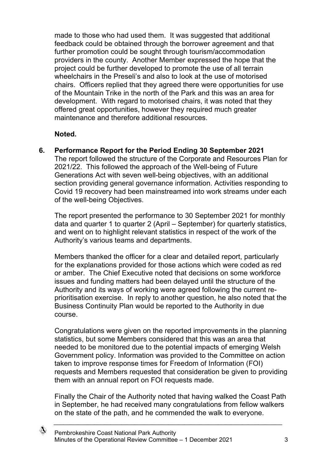made to those who had used them. It was suggested that additional feedback could be obtained through the borrower agreement and that further promotion could be sought through tourism/accommodation providers in the county. Another Member expressed the hope that the project could be further developed to promote the use of all terrain wheelchairs in the Preseli's and also to look at the use of motorised chairs. Officers replied that they agreed there were opportunities for use of the Mountain Trike in the north of the Park and this was an area for development. With regard to motorised chairs, it was noted that they offered great opportunities, however they required much greater maintenance and therefore additional resources.

### **Noted.**

### **6. Performance Report for the Period Ending 30 September 2021**

The report followed the structure of the Corporate and Resources Plan for 2021/22. This followed the approach of the Well-being of Future Generations Act with seven well-being objectives, with an additional section providing general governance information. Activities responding to Covid 19 recovery had been mainstreamed into work streams under each of the well-being Objectives.

The report presented the performance to 30 September 2021 for monthly data and quarter 1 to quarter 2 (April – September) for quarterly statistics, and went on to highlight relevant statistics in respect of the work of the Authority's various teams and departments.

Members thanked the officer for a clear and detailed report, particularly for the explanations provided for those actions which were coded as red or amber. The Chief Executive noted that decisions on some workforce issues and funding matters had been delayed until the structure of the Authority and its ways of working were agreed following the current reprioritisation exercise. In reply to another question, he also noted that the Business Continuity Plan would be reported to the Authority in due course.

Congratulations were given on the reported improvements in the planning statistics, but some Members considered that this was an area that needed to be monitored due to the potential impacts of emerging Welsh Government policy. Information was provided to the Committee on action taken to improve response times for Freedom of Information (FOI) requests and Members requested that consideration be given to providing them with an annual report on FOI requests made.

Finally the Chair of the Authority noted that having walked the Coast Path in September, he had received many congratulations from fellow walkers on the state of the path, and he commended the walk to everyone.

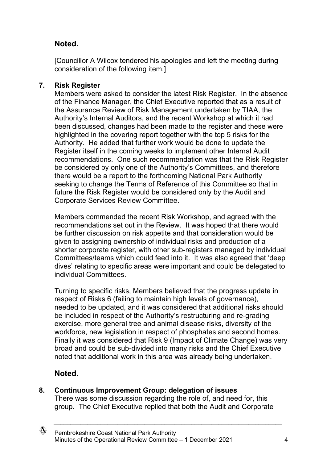## **Noted.**

[Councillor A Wilcox tendered his apologies and left the meeting during consideration of the following item.]

## **7. Risk Register**

Members were asked to consider the latest Risk Register. In the absence of the Finance Manager, the Chief Executive reported that as a result of the Assurance Review of Risk Management undertaken by TIAA, the Authority's Internal Auditors, and the recent Workshop at which it had been discussed, changes had been made to the register and these were highlighted in the covering report together with the top 5 risks for the Authority. He added that further work would be done to update the Register itself in the coming weeks to implement other Internal Audit recommendations. One such recommendation was that the Risk Register be considered by only one of the Authority's Committees, and therefore there would be a report to the forthcoming National Park Authority seeking to change the Terms of Reference of this Committee so that in future the Risk Register would be considered only by the Audit and Corporate Services Review Committee.

Members commended the recent Risk Workshop, and agreed with the recommendations set out in the Review. It was hoped that there would be further discussion on risk appetite and that consideration would be given to assigning ownership of individual risks and production of a shorter corporate register, with other sub-registers managed by individual Committees/teams which could feed into it. It was also agreed that 'deep dives' relating to specific areas were important and could be delegated to individual Committees.

Turning to specific risks, Members believed that the progress update in respect of Risks 6 (failing to maintain high levels of governance), needed to be updated, and it was considered that additional risks should be included in respect of the Authority's restructuring and re-grading exercise, more general tree and animal disease risks, diversity of the workforce, new legislation in respect of phosphates and second homes. Finally it was considered that Risk 9 (Impact of Climate Change) was very broad and could be sub-divided into many risks and the Chief Executive noted that additional work in this area was already being undertaken.

# **Noted.**

**8. Continuous Improvement Group: delegation of issues**

There was some discussion regarding the role of, and need for, this group. The Chief Executive replied that both the Audit and Corporate